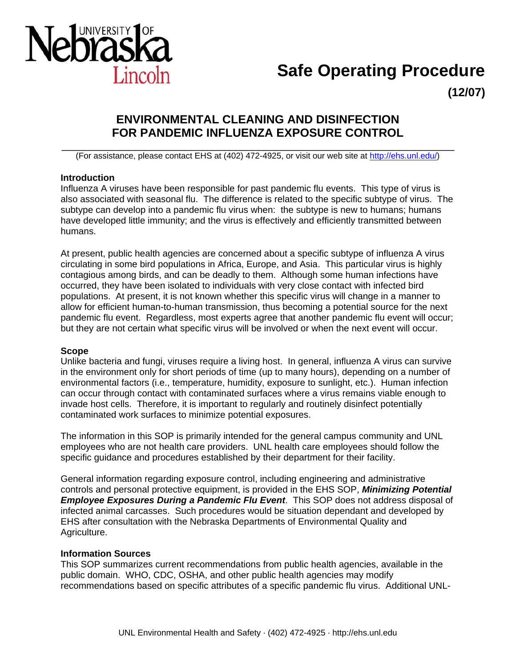

# **Safe Operating Procedure**

**(12/07)** 

# **ENVIRONMENTAL CLEANING AND DISINFECTION FOR PANDEMIC INFLUENZA EXPOSURE CONTROL**

\_\_\_\_\_\_\_\_\_\_\_\_\_\_\_\_\_\_\_\_\_\_\_\_\_\_\_\_\_\_\_\_\_\_\_\_\_\_\_\_\_\_\_\_\_\_\_\_\_\_\_\_\_\_\_\_\_\_\_\_\_\_\_\_\_\_\_\_\_\_ (For assistance, please contact EHS at (402) 472-4925, or visit our web site at http://ehs.unl.edu/)

#### **Introduction**

Influenza A viruses have been responsible for past pandemic flu events. This type of virus is also associated with seasonal flu. The difference is related to the specific subtype of virus. The subtype can develop into a pandemic flu virus when: the subtype is new to humans; humans have developed little immunity; and the virus is effectively and efficiently transmitted between humans.

At present, public health agencies are concerned about a specific subtype of influenza A virus circulating in some bird populations in Africa, Europe, and Asia. This particular virus is highly contagious among birds, and can be deadly to them. Although some human infections have occurred, they have been isolated to individuals with very close contact with infected bird populations. At present, it is not known whether this specific virus will change in a manner to allow for efficient human-to-human transmission, thus becoming a potential source for the next pandemic flu event. Regardless, most experts agree that another pandemic flu event will occur; but they are not certain what specific virus will be involved or when the next event will occur.

#### **Scope**

Unlike bacteria and fungi, viruses require a living host. In general, influenza A virus can survive in the environment only for short periods of time (up to many hours), depending on a number of environmental factors (i.e., temperature, humidity, exposure to sunlight, etc.). Human infection can occur through contact with contaminated surfaces where a virus remains viable enough to invade host cells. Therefore, it is important to regularly and routinely disinfect potentially contaminated work surfaces to minimize potential exposures.

The information in this SOP is primarily intended for the general campus community and UNL employees who are not health care providers. UNL health care employees should follow the specific guidance and procedures established by their department for their facility.

General information regarding exposure control, including engineering and administrative controls and personal protective equipment, is provided in the EHS SOP, *Minimizing Potential Employee Exposures During a Pandemic Flu Event*. This SOP does not address disposal of infected animal carcasses. Such procedures would be situation dependant and developed by EHS after consultation with the Nebraska Departments of Environmental Quality and Agriculture.

## **Information Sources**

This SOP summarizes current recommendations from public health agencies, available in the public domain. WHO, CDC, OSHA, and other public health agencies may modify recommendations based on specific attributes of a specific pandemic flu virus. Additional UNL-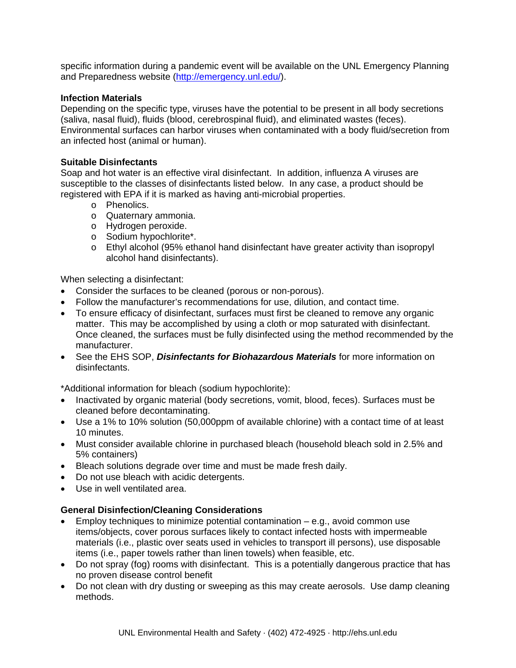specific information during a pandemic event will be available on the UNL Emergency Planning and Preparedness website (http://emergency.unl.edu/).

#### **Infection Materials**

Depending on the specific type, viruses have the potential to be present in all body secretions (saliva, nasal fluid), fluids (blood, cerebrospinal fluid), and eliminated wastes (feces). Environmental surfaces can harbor viruses when contaminated with a body fluid/secretion from an infected host (animal or human).

#### **Suitable Disinfectants**

Soap and hot water is an effective viral disinfectant. In addition, influenza A viruses are susceptible to the classes of disinfectants listed below. In any case, a product should be registered with EPA if it is marked as having anti-microbial properties.

- o Phenolics.
- o Quaternary ammonia.
- o Hydrogen peroxide.
- o Sodium hypochlorite\*.
- o Ethyl alcohol (95% ethanol hand disinfectant have greater activity than isopropyl alcohol hand disinfectants).

When selecting a disinfectant:

- Consider the surfaces to be cleaned (porous or non-porous).
- Follow the manufacturer's recommendations for use, dilution, and contact time.
- To ensure efficacy of disinfectant, surfaces must first be cleaned to remove any organic matter. This may be accomplished by using a cloth or mop saturated with disinfectant. Once cleaned, the surfaces must be fully disinfected using the method recommended by the manufacturer.
- See the EHS SOP, *Disinfectants for Biohazardous Materials* for more information on disinfectants.

\*Additional information for bleach (sodium hypochlorite):

- Inactivated by organic material (body secretions, vomit, blood, feces). Surfaces must be cleaned before decontaminating.
- Use a 1% to 10% solution (50,000ppm of available chlorine) with a contact time of at least 10 minutes.
- Must consider available chlorine in purchased bleach (household bleach sold in 2.5% and 5% containers)
- Bleach solutions degrade over time and must be made fresh daily.
- Do not use bleach with acidic detergents.
- Use in well ventilated area.

## **General Disinfection/Cleaning Considerations**

- Employ techniques to minimize potential contamination  $-$  e.g., avoid common use items/objects, cover porous surfaces likely to contact infected hosts with impermeable materials (i.e., plastic over seats used in vehicles to transport ill persons), use disposable items (i.e., paper towels rather than linen towels) when feasible, etc.
- Do not spray (fog) rooms with disinfectant. This is a potentially dangerous practice that has no proven disease control benefit
- Do not clean with dry dusting or sweeping as this may create aerosols. Use damp cleaning methods.